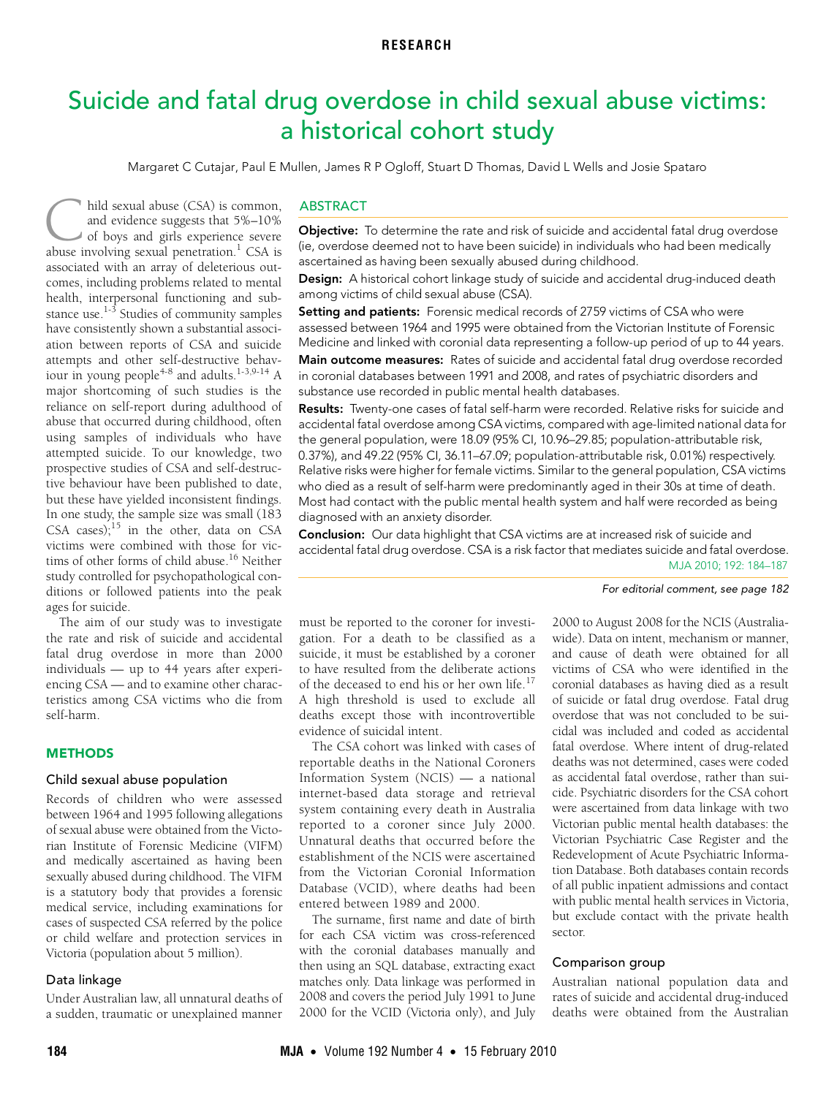# <span id="page-0-0"></span>Suicide and fatal drug overdose in child sexual abuse victims: a historical cohort study

Margaret C Cutajar, Paul E Mullen, James R P Ogloff, Stuart D Thomas, David L Wells and Josie Spataro

stance use. Studies of community samples<br>have consistently shown a substantial as[soci](#page-0-0)nave consistently shown a substantial associ-<br>[ation bet](#page-3-9)ween reports of CSA and suicide pet pts and other self-destructive behavn young people<sup>4</sup> major shortcoming of such studies is the hild sexual abuse (CSA) is common, and evidence suggests that 5%–10% of boys and girls experience severe hild sexual abuse (CSA) is common,<br>and evidence suggests that 5%-10%<br>of boys and girls experience severe<br>abuse involving sexual penetration.<sup>1</sup> CSA is associated with an array of deleterious outcomes, including problems related to mental health, interpersonal functioning and substance use. $1-3$  $1-3$  Studies of community samples attempts and other self-destructive behaviour in young people $^{4-8}$  $^{4-8}$  $^{4-8}$  and adults. $^{1-3,9-14}$  $^{1-3,9-14}$  $^{1-3,9-14}$  $^{1-3,9-14}$  A reliance on self-report during adulthood of abuse that occurred during childhood, often using samples of individuals who have attempted suicide. To our knowledge, two prospective studies of CSA and self-destructive behaviour have been published to date, but these have yielded inconsistent findings. In one study, the sample size was small (183 CSA cases): $15$  in the other, data on CSA victims were combined with those for victims of other forms of child abuse.<sup>16</sup> Neither study controlled for psychopathological conditions or followed patients into the peak ages for suicide.

The aim of our study was to investigate the rate and risk of suicide and accidental fatal drug overdose in more than 2000 individuals — up to 44 years after experiencing CSA — and to examine other characteristics among CSA victims who die from self-harm.

## **METHODS**

# Child sexual abuse population

Records of children who were assessed between 1964 and 1995 following allegations of sexual abuse were obtained from the Victorian Institute of Forensic Medicine (VIFM) and medically ascertained as having been sexually abused during childhood. The VIFM is a statutory body that provides a forensic medical service, including examinations for cases of suspected CSA referred by the police or child welfare and protection services in Victoria (population about 5 million).

# Data linkage

Under Australian law, all unnatural deaths of a sudden, traumatic or unexplained manner

# ABSTRACT

**Objective:** To determine the rate and risk of suicide and accidental fatal drug overdose (ie, overdose deemed not to have been suicide) in individuals who had been medically ascertained as having been sexually abused during childhood.

Design: A historical cohort linkage study of suicide and accidental drug-induced death among victims of child sexual abuse (CSA).

Setting and patients: Forensic medical records of 2759 victims of CSA who were assessed between 1964 and 1995 were obtained from the Victorian Institute of Forensic Medicine and linked with coronial data representing a follow-up period of up to 44 years.

Main outcome measures: Rates of suicide and accidental fatal drug overdose recorded in coronial databases between 1991 and 2008, and rates of psychiatric disorders and substance use recorded in public mental health databases.

Results: Twenty-one cases of fatal self-harm were recorded. Relative risks for suicide and accidental fatal overdose among CSA victims, compared with age-limited national data for the general population, were 18.09 (95% CI, 10.96–29.85; population-attributable risk, 0.37%), and 49.22 (95% CI, 36.11–67.09; population-attributable risk, 0.01%) respectively. Relative risks were higher for female victims. Similar to the general population, CSA victims who died as a result of self-harm were predominantly aged in their 30s at time of death. Most had contact with the public mental health system and half were recorded as being diagnosed with an anxiety disorder.

Conclusion: Our data highlight that CSA victims are at increased risk of suicide and MJA 2010; 192: 184–187 accidental fatal drug overdose. CSA is a risk factor that mediates suicide and fatal overdose.

#### For editorial comment, see page 182

must be reported to the coroner for investigation. For a death to be classified as a suicide, it must be established by a coroner to have resulted from the deliberate actions of the deceased to end his or her own life.<sup>[17](#page-3-8)</sup> A high threshold is used to exclude all deaths except those with incontrovertible evidence of suicidal intent.

The CSA cohort was linked with cases of reportable deaths in the National Coroners Information System (NCIS) — a national internet-based data storage and retrieval system containing every death in Australia reported to a coroner since July 2000. Unnatural deaths that occurred before the establishment of the NCIS were ascertained from the Victorian Coronial Information Database (VCID), where deaths had been entered between 1989 and 2000.

The surname, first name and date of birth for each CSA victim was cross-referenced with the coronial databases manually and then using an SQL database, extracting exact matches only. Data linkage was performed in 2008 and covers the period July 1991 to June 2000 for the VCID (Victoria only), and July 2000 to August 2008 for the NCIS (Australiawide). Data on intent, mechanism or manner, and cause of death were obtained for all victims of CSA who were identified in the coronial databases as having died as a result of suicide or fatal drug overdose. Fatal drug overdose that was not concluded to be suicidal was included and coded as accidental fatal overdose. Where intent of drug-related deaths was not determined, cases were coded as accidental fatal overdose, rather than suicide. Psychiatric disorders for the CSA cohort were ascertained from data linkage with two Victorian public mental health databases: the Victorian Psychiatric Case Register and the Redevelopment of Acute Psychiatric Information Database. Both databases contain records of all public inpatient admissions and contact with public mental health services in Victoria, but exclude contact with the private health sector.

### Comparison group

Australian national population data and rates of suicide and accidental drug-induced deaths were obtained from the Australian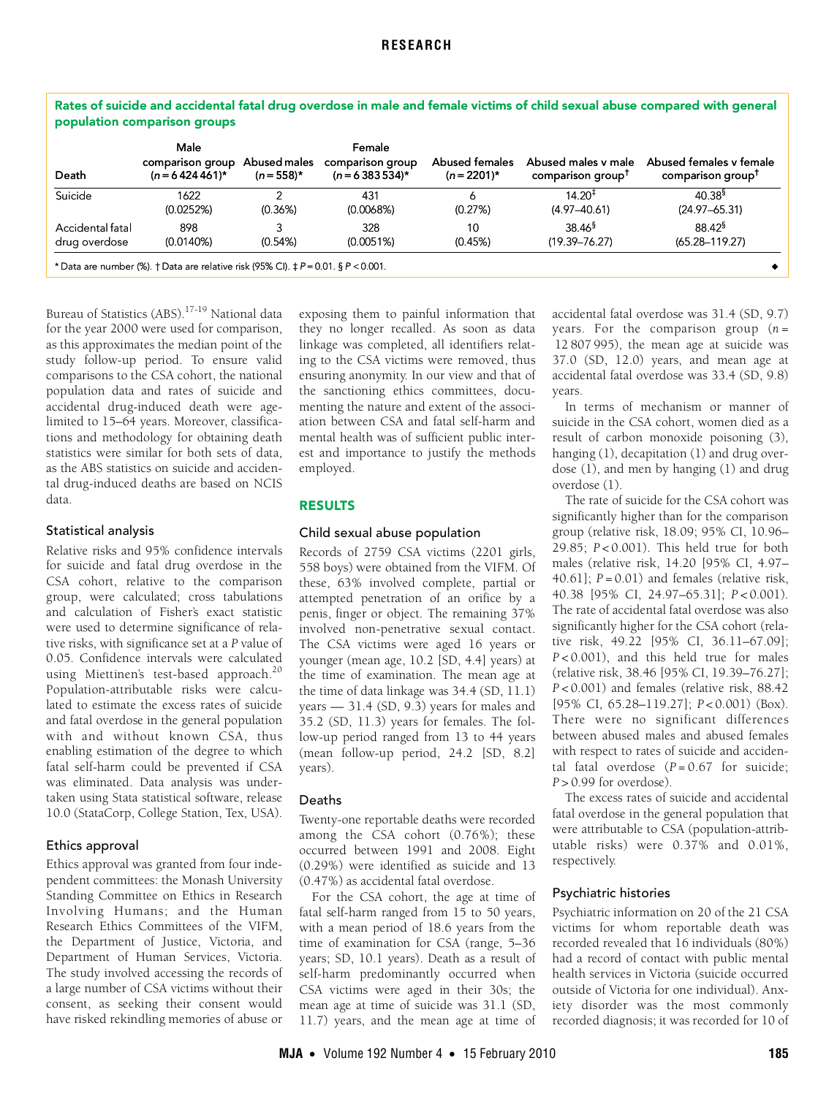| Death            | Male<br>comparison group<br>$(n = 6424461)^*$ | Abused males<br>$(n = 558)^*$ | Female<br>comparison group<br>$(n = 6383534)^*$ | <b>Abused females</b><br>$(n=2201)^*$ | Abused males y male<br>comparison group <sup>T</sup> | Abused females y female<br>comparison group <sup>†</sup> |
|------------------|-----------------------------------------------|-------------------------------|-------------------------------------------------|---------------------------------------|------------------------------------------------------|----------------------------------------------------------|
| Suicide          | 1622                                          | າ                             | 431                                             | 6                                     | $14.20^{\ddagger}$                                   | $40.38^{5}$                                              |
|                  | (0.0252%)                                     | (0.36%)                       | (0.0068%)                                       | (0.27%)                               | $(4.97 - 40.61)$                                     | $(24.97 - 65.31)$                                        |
| Accidental fatal | 898                                           | 3                             | 328                                             | 10                                    | $38.46^{\frac{5}{2}}$                                | $88.42^{\$}$                                             |
| drug overdose    | (0.0140%)                                     | (0.54%)                       | (0.0051%)                                       | (0.45%)                               | $(19.39 - 76.27)$                                    | $(65.28 - 119.27)$                                       |

Bureau of Statistics (ABS).<sup>[17](#page-3-8)-19</sup> National data for the year 2000 were used for comparison, as this approximates the median point of the study follow-up period. To ensure valid comparisons to the CSA cohort, the national population data and rates of suicide and accidental drug-induced death were agelimited to 15–64 years. Moreover, classifications and methodology for obtaining death statistics were similar for both sets of data, as the ABS statistics on suicide and accidental drug-induced deaths are based on NCIS data.

## Statistical analysis

Relative risks and 95% confidence intervals for suicide and fatal drug overdose in the CSA cohort, relative to the comparison group, were calculated; cross tabulations and calculation of Fisher's exact statistic were used to determine significance of relative risks, with significance set at a *P* value of 0.05. Confidence intervals were calculated using Miettinen's test-based approach.<sup>[20](#page-3-11)</sup> Population-attributable risks were calculated to estimate the excess rates of suicide and fatal overdose in the general population with and without known CSA, thus enabling estimation of the degree to which fatal self-harm could be prevented if CSA was eliminated. Data analysis was undertaken using Stata statistical software, release 10.0 (StataCorp, College Station, Tex, USA).

# Ethics approval

Ethics approval was granted from four independent committees: the Monash University Standing Committee on Ethics in Research Involving Humans; and the Human Research Ethics Committees of the VIFM, the Department of Justice, Victoria, and Department of Human Services, Victoria. The study involved accessing the records of a large number of CSA victims without their consent, as seeking their consent would have risked rekindling memories of abuse or

exposing them to painful information that they no longer recalled. As soon as data linkage was completed, all identifiers relating to the CSA victims were removed, thus ensuring anonymity. In our view and that of the sanctioning ethics committees, documenting the nature and extent of the association between CSA and fatal self-harm and mental health was of sufficient public interest and importance to justify the methods employed.

## RESULTS

# Child sexual abuse population

Records of 2759 CSA victims (2201 girls, 558 boys) were obtained from the VIFM. Of these, 63% involved complete, partial or attempted penetration of an orifice by a penis, finger or object. The remaining 37% involved non-penetrative sexual contact. The CSA victims were aged 16 years or younger (mean age, 10.2 [SD, 4.4] years) at the time of examination. The mean age at the time of data linkage was 34.4 (SD, 11.1) years — 31.4 (SD, 9.3) years for males and 35.2 (SD, 11.3) years for females. The follow-up period ranged from 13 to 44 years (mean follow-up period, 24.2 [SD, 8.2] years).

### Deaths

Twenty-one reportable deaths were recorded among the CSA cohort (0.76%); these occurred between 1991 and 2008. Eight (0.29%) were identified as suicide and 13 (0.47%) as accidental fatal overdose.

For the CSA cohort, the age at time of fatal self-harm ranged from 15 to 50 years, with a mean period of 18.6 years from the time of examination for CSA (range, 5–36 years; SD, 10.1 years). Death as a result of self-harm predominantly occurred when CSA victims were aged in their 30s; the mean age at time of suicide was 31.1 (SD, 11.7) years, and the mean age at time of

accidental fatal overdose was 31.4 (SD, 9.7) years. For the comparison group (*n* = 12 807 995), the mean age at suicide was 37.0 (SD, 12.0) years, and mean age at accidental fatal overdose was 33.4 (SD, 9.8) years.

In terms of mechanism or manner of suicide in the CSA cohort, women died as a result of carbon monoxide poisoning (3), hanging (1), decapitation (1) and drug overdose (1), and men by hanging (1) and drug overdose (1).

The rate of suicide for the CSA cohort was significantly higher than for the comparison group (relative risk, 18.09; 95% CI, 10.96– 29.85; *P* < 0.001). This held true for both males (relative risk, 14.20 [95% CI, 4.97– 40.61];  $P = 0.01$ ) and females (relative risk, 40.38 [95% CI, 24.97–65.31]; *P* < 0.001). The rate of accidental fatal overdose was also significantly higher for the CSA cohort (relative risk, 49.22 [95% CI, 36.11–67.09]; *P* < 0.001), and this held true for males (relative risk, 38.46 [95% CI, 19.39–76.27]; *P* < 0.001) and females (relative risk, 88.42 [95% CI, 65.28–119.27]; *P* < 0.001) (Box). There were no significant differences between abused males and abused females with respect to rates of suicide and accidental fatal overdose  $(P = 0.67$  for suicide;  $P > 0.99$  for overdose).

The excess rates of suicide and accidental fatal overdose in the general population that were attributable to CSA (population-attributable risks) were 0.37% and 0.01%, respectively.

### Psychiatric histories

Psychiatric information on 20 of the 21 CSA victims for whom reportable death was recorded revealed that 16 individuals (80%) had a record of contact with public mental health services in Victoria (suicide occurred outside of Victoria for one individual). Anxiety disorder was the most commonly recorded diagnosis; it was recorded for 10 of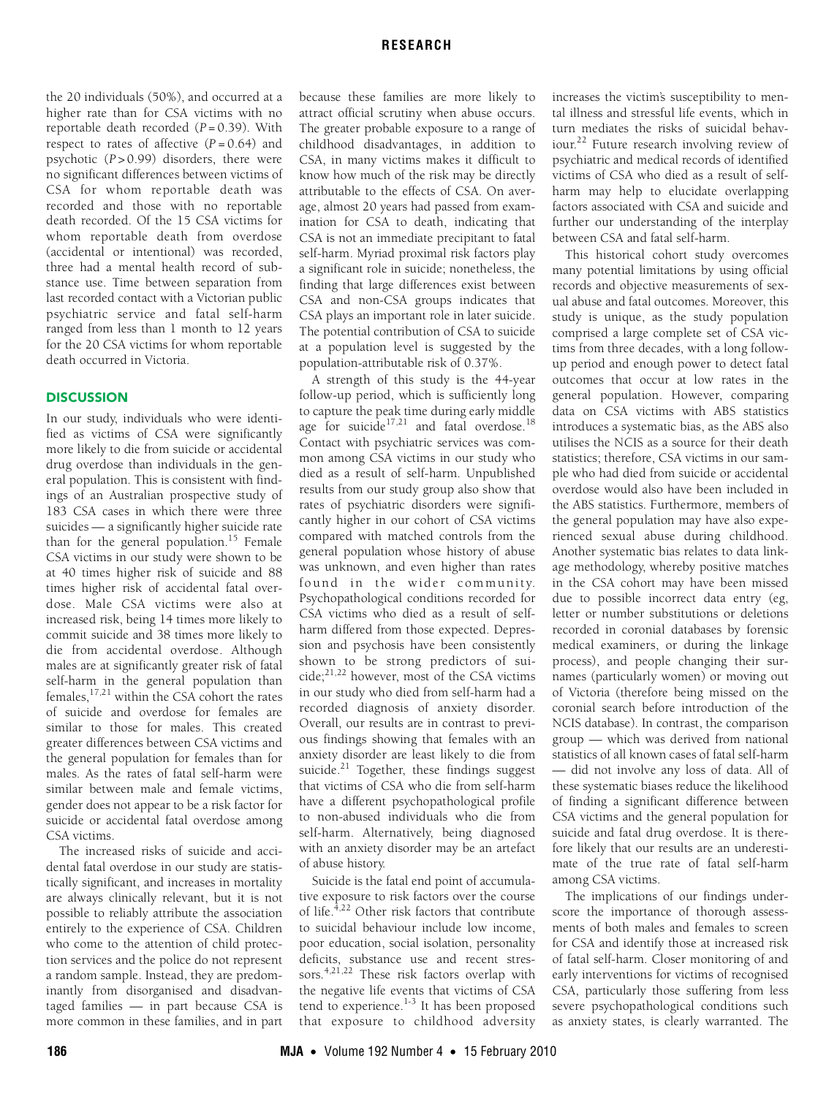the 20 individuals (50%), and occurred at a higher rate than for CSA victims with no reportable death recorded (*P* = 0.39). With respect to rates of affective  $(P = 0.64)$  and psychotic (*P* > 0.99) disorders, there were no significant differences between victims of CSA for whom reportable death was recorded and those with no reportable death recorded. Of the 15 CSA victims for whom reportable death from overdose (accidental or intentional) was recorded, three had a mental health record of substance use. Time between separation from last recorded contact with a Victorian public psychiatric service and fatal self-harm ranged from less than 1 month to 12 years for the 20 CSA victims for whom reportable death occurred in Victoria.

## **DISCUSSION**

In our study, individuals who were identified as victims of CSA were significantly more likely to die from suicide or accidental drug overdose than individuals in the general population. This is consistent with findings of an Australian prospective study of 183 CSA cases in which there were three suicides — a significantly higher suicide rate than for the general population[.15](#page-3-6) Female CSA victims in our study were shown to be at 40 times higher risk of suicide and 88 times higher risk of accidental fatal overdose. Male CSA victims were also at increased risk, being 14 times more likely to commit suicide and 38 times more likely to die from accidental overdose. Although males are at significantly greater risk of fatal self-harm in the general population than females,[17,](#page-3-8)[21](#page-3-12) within the CSA cohort the rates of suicide and overdose for females are similar to those for males. This created greater differences between CSA victims and the general population for females than for males. As the rates of fatal self-harm were similar between male and female victims, gender does not appear to be a risk factor for suicide or accidental fatal overdose among CSA victims.

The increased risks of suicide and accidental fatal overdose in our study are statistically significant, and increases in mortality are always clinically relevant, but it is not possible to reliably attribute the association entirely to the experience of CSA. Children who come to the attention of child protection services and the police do not represent a random sample. Instead, they are predominantly from disorganised and disadvantaged families — in part because CSA is more common in these families, and in part because these families are more likely to attract official scrutiny when abuse occurs. The greater probable exposure to a range of childhood disadvantages, in addition to CSA, in many victims makes it difficult to know how much of the risk may be directly attributable to the effects of CSA. On average, almost 20 years had passed from examination for CSA to death, indicating that CSA is not an immediate precipitant to fatal self-harm. Myriad proximal risk factors play a significant role in suicide; nonetheless, the finding that large differences exist between CSA and non-CSA groups indicates that CSA plays an important role in later suicide. The potential contribution of CSA to suicide at a population level is suggested by the population-attributable risk of 0.37%.

A strength of this study is the 44-year follow-up period, which is sufficiently long to capture the peak time during early middle age for suicide<sup>[17,](#page-3-8)[21](#page-3-12)</sup> and fatal overdose.<sup>[18](#page-3-13)</sup> Contact with psychiatric services was common among CSA victims in our study who died as a result of self-harm. Unpublished results from our study group also show that rates of psychiatric disorders were significantly higher in our cohort of CSA victims compared with matched controls from the general population whose history of abuse was unknown, and even higher than rates found in the wider community. Psychopathological conditions recorded for CSA victims who died as a result of selfharm differed from those expected. Depression and psychosis have been consistently shown to be strong predictors of suicide;[21,](#page-3-12)[22](#page-3-9) however, most of the CSA victims in our study who died from self-harm had a recorded diagnosis of anxiety disorder. Overall, our results are in contrast to previous findings showing that females with an anxiety disorder are least likely to die from suicide.<sup>21</sup> Together, these findings suggest that victims of CSA who die from self-harm have a different psychopathological profile to non-abused individuals who die from self-harm. Alternatively, being diagnosed with an anxiety disorder may be an artefact of abuse history.

Suicide is the fatal end point of accumulative exposure to risk factors over the course of life. $^{4,22}$  $^{4,22}$  $^{4,22}$  Other risk factors that contribute to suicidal behaviour include low income, poor education, social isolation, personality deficits, substance use and recent stres-sors.<sup>[4](#page-3-2),[21,](#page-3-12)[22](#page-3-9)</sup> These risk factors overlap with the negative life events that victims of CSA tend to experience.<sup>1-[3](#page-3-1)</sup> It has been proposed that exposure to childhood adversity

increases the victim's susceptibility to mental illness and stressful life events, which in turn mediates the risks of suicidal behaviour[.22](#page-3-9) Future research involving review of psychiatric and medical records of identified victims of CSA who died as a result of selfharm may help to elucidate overlapping factors associated with CSA and suicide and further our understanding of the interplay between CSA and fatal self-harm.

This historical cohort study overcomes many potential limitations by using official records and objective measurements of sexual abuse and fatal outcomes. Moreover, this study is unique, as the study population comprised a large complete set of CSA victims from three decades, with a long followup period and enough power to detect fatal outcomes that occur at low rates in the general population. However, comparing data on CSA victims with ABS statistics introduces a systematic bias, as the ABS also utilises the NCIS as a source for their death statistics; therefore, CSA victims in our sample who had died from suicide or accidental overdose would also have been included in the ABS statistics. Furthermore, members of the general population may have also experienced sexual abuse during childhood. Another systematic bias relates to data linkage methodology, whereby positive matches in the CSA cohort may have been missed due to possible incorrect data entry (eg, letter or number substitutions or deletions recorded in coronial databases by forensic medical examiners, or during the linkage process), and people changing their surnames (particularly women) or moving out of Victoria (therefore being missed on the coronial search before introduction of the NCIS database). In contrast, the comparison group — which was derived from national statistics of all known cases of fatal self-harm — did not involve any loss of data. All of these systematic biases reduce the likelihood of finding a significant difference between CSA victims and the general population for suicide and fatal drug overdose. It is therefore likely that our results are an underestimate of the true rate of fatal self-harm among CSA victims.

The implications of our findings underscore the importance of thorough assessments of both males and females to screen for CSA and identify those at increased risk of fatal self-harm. Closer monitoring of and early interventions for victims of recognised CSA, particularly those suffering from less severe psychopathological conditions such as anxiety states, is clearly warranted. The